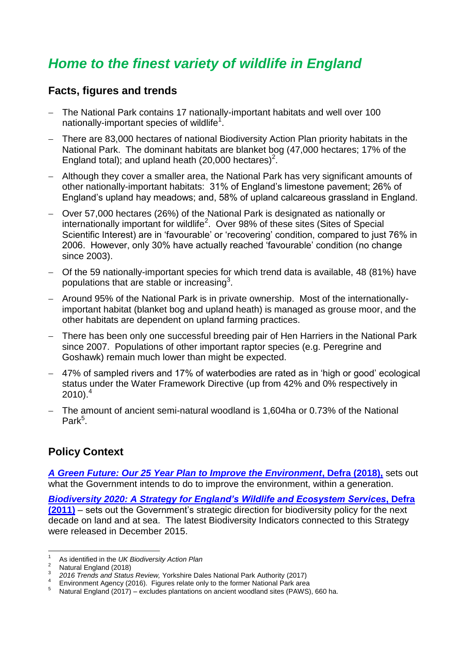## *Home to the finest variety of wildlife in England*

## **Facts, figures and trends**

- The National Park contains 17 nationally-important habitats and well over 100 nationally-important species of wildlife<sup>1</sup>.
- <span id="page-0-0"></span> There are 83,000 hectares of national Biodiversity Action Plan priority habitats in the National Park. The dominant habitats are blanket bog (47,000 hectares; 17% of the England total); and upland heath (20,000 hectares)<sup>2</sup>.
- Although they cover a smaller area, the National Park has very significant amounts of other nationally-important habitats: 31% of England's limestone pavement; 26% of England's upland hay meadows; and, 58% of upland calcareous grassland in England.
- Over 57,000 hectares (26%) of the National Park is designated as nationally or internationally important for wildlife<sup>[2](#page-0-0)</sup>. Over 98% of these sites (Sites of Special Scientific Interest) are in 'favourable' or 'recovering' condition, compared to just 76% in 2006. However, only 30% have actually reached 'favourable' condition (no change since 2003).
- Of the 59 nationally-important species for which trend data is available, 48 (81%) have populations that are stable or increasing<sup>3</sup>.
- Around 95% of the National Park is in private ownership. Most of the internationallyimportant habitat (blanket bog and upland heath) is managed as grouse moor, and the other habitats are dependent on upland farming practices.
- There has been only one successful breeding pair of Hen Harriers in the National Park since 2007. Populations of other important raptor species (e.g. Peregrine and Goshawk) remain much lower than might be expected.
- 47% of sampled rivers and 17% of waterbodies are rated as in 'high or good' ecological status under the Water Framework Directive (up from 42% and 0% respectively in  $2010$ .<sup>4</sup>
- The amount of ancient semi-natural woodland is 1,604ha or 0.73% of the National Park<sup>5</sup>.

## **Policy Context**

*[A Green Future: Our 25 Year Plan to Improve the Environment](https://assets.publishing.service.gov.uk/government/uploads/system/uploads/attachment_data/file/693158/25-year-environment-plan.pdf)***, Defra (2018),** sets out what the Government intends to do to improve the environment, within a generation.

*[Biodiversity 2020: A Strategy for England's Wildlife and Ecosystem Services](https://www.gov.uk/government/uploads/system/uploads/attachment_data/file/69446/pb13583-biodiversity-strategy-2020-111111.pdf)***, Defra [\(2011\)](https://www.gov.uk/government/uploads/system/uploads/attachment_data/file/69446/pb13583-biodiversity-strategy-2020-111111.pdf)** – sets out the Government's strategic direction for biodiversity policy for the next decade on land and at sea. The latest Biodiversity Indicators connected to this Strategy were released in December 2015.

 1 As identified in the *UK Biodiversity Action Plan*

<sup>&</sup>lt;sup>2</sup> Natural England (2018)

<sup>3</sup> *2016 Trends and Status Review,* Yorkshire Dales National Park Authority (2017)

 $\begin{array}{c} 4 \\ 5 \end{array}$ Environment Agency (2016). Figures relate only to the former National Park area

Natural England (2017) – excludes plantations on ancient woodland sites (PAWS), 660 ha.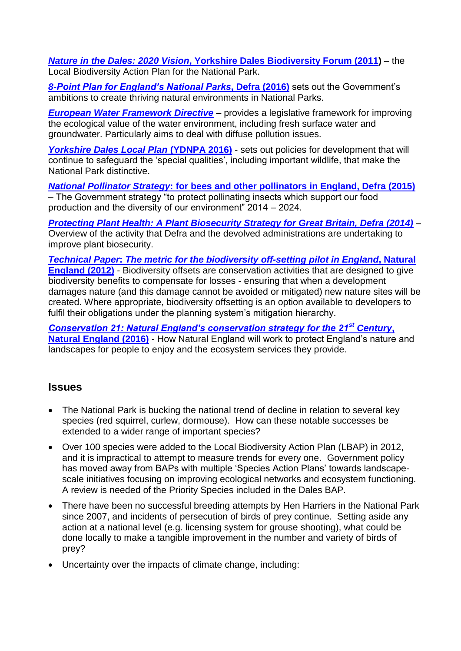*Nature in the Dales: 2020 Vision***[, Yorkshire Dales Biodiversity Forum \(2011\)](http://www.natureinthedales.org.uk/bap)** – the Local Biodiversity Action Plan for the National Park.

*[8-Point Plan for England's National Parks](https://www.gov.uk/government/uploads/system/uploads/attachment_data/file/509916/national-parks-8-point-plan-for-england-2016-to-2020.pdf)***, Defra (2016)** sets out the Government's ambitions to create thriving natural environments in National Parks.

*[European Water Framework Directive](http://ec.europa.eu/environment/pubs/pdf/factsheets/wfd/en.pdf)* – provides a legislative framework for improving the ecological value of the water environment, including fresh surface water and groundwater. Particularly aims to deal with diffuse pollution issues.

*[Yorkshire Dales Local Plan](https://yorkshiredales.npuk-wp.uk/wp-content/uploads/sites/13/2019/06/Yorkshire-Dales-National-Park-Local-Plan-2015-30.pdf) (YDNPA 2016)* - sets out policies for development that will continue to safeguard the 'special qualities', including important wildlife, that make the National Park distinctive.

*National Pollinator Strategy***[: for bees and other pollinators in England, Defra \(2015\)](https://assets.publishing.service.gov.uk/government/uploads/system/uploads/attachment_data/file/474386/nps-implementation-plan.pdf)** – The Government strategy "to protect pollinating insects which support our food production and the diversity of our environment" 2014 – 2024.

*[Protecting Plant Health: A Plant Biosecurity Strategy for Great Britain, Defra \(2014\)](https://assets.publishing.service.gov.uk/government/uploads/system/uploads/attachment_data/file/307355/pb14168-plant-health-strategy.pdf)* – Overview of the activity that Defra and the devolved administrations are undertaking to improve plant biosecurity.

*Technical Paper***:** *[The metric for the biodiversity off-setting pilot in England](https://assets.publishing.service.gov.uk/government/uploads/system/uploads/attachment_data/file/69531/pb13745-bio-technical-paper.pdf)***, Natural [England \(2012\)](https://assets.publishing.service.gov.uk/government/uploads/system/uploads/attachment_data/file/69531/pb13745-bio-technical-paper.pdf)** - Biodiversity offsets are conservation activities that are designed to give biodiversity benefits to compensate for losses - ensuring that when a development damages nature (and this damage cannot be avoided or mitigated) new nature sites will be created. Where appropriate, biodiversity offsetting is an option available to developers to fulfil their obligations under the planning system's mitigation hierarchy.

*[Conservation 21: Natural England's conservation strategy for the 21](https://assets.publishing.service.gov.uk/government/uploads/system/uploads/attachment_data/file/562046/conservation-21.pdf)st Century***, [Natural England \(2016\)](https://assets.publishing.service.gov.uk/government/uploads/system/uploads/attachment_data/file/562046/conservation-21.pdf)** - How Natural England will work to protect England's nature and landscapes for people to enjoy and the ecosystem services they provide.

## **Issues**

- The National Park is bucking the national trend of decline in relation to several key species (red squirrel, curlew, dormouse). How can these notable successes be extended to a wider range of important species?
- Over 100 species were added to the Local Biodiversity Action Plan (LBAP) in 2012, and it is impractical to attempt to measure trends for every one. Government policy has moved away from BAPs with multiple 'Species Action Plans' towards landscapescale initiatives focusing on improving ecological networks and ecosystem functioning. A review is needed of the Priority Species included in the Dales BAP.
- There have been no successful breeding attempts by Hen Harriers in the National Park since 2007, and incidents of persecution of birds of prey continue. Setting aside any action at a national level (e.g. licensing system for grouse shooting), what could be done locally to make a tangible improvement in the number and variety of birds of prey?
- Uncertainty over the impacts of climate change, including: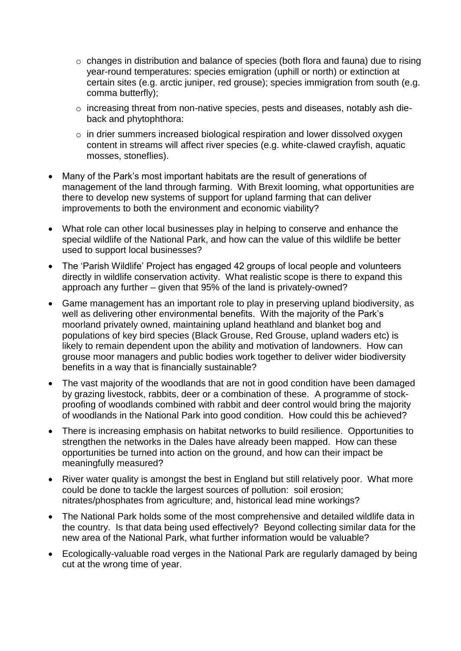- o changes in distribution and balance of species (both flora and fauna) due to rising year-round temperatures: species emigration (uphill or north) or extinction at certain sites (e.g. arctic juniper, red grouse); species immigration from south (e.g. comma butterfly);
- o increasing threat from non-native species, pests and diseases, notably ash dieback and phytophthora:
- $\circ$  in drier summers increased biological respiration and lower dissolved oxygen content in streams will affect river species (e.g. white-clawed crayfish, aquatic mosses, stoneflies).
- Many of the Park's most important habitats are the result of generations of management of the land through farming. With Brexit looming, what opportunities are there to develop new systems of support for upland farming that can deliver improvements to both the environment and economic viability?
- What role can other local businesses play in helping to conserve and enhance the special wildlife of the National Park, and how can the value of this wildlife be better used to support local businesses?
- The 'Parish Wildlife' Project has engaged 42 groups of local people and volunteers directly in wildlife conservation activity. What realistic scope is there to expand this approach any further – given that 95% of the land is privately-owned?
- Game management has an important role to play in preserving upland biodiversity, as well as delivering other environmental benefits. With the majority of the Park's moorland privately owned, maintaining upland heathland and blanket bog and populations of key bird species (Black Grouse, Red Grouse, upland waders etc) is likely to remain dependent upon the ability and motivation of landowners. How can grouse moor managers and public bodies work together to deliver wider biodiversity benefits in a way that is financially sustainable?
- The vast majority of the woodlands that are not in good condition have been damaged by grazing livestock, rabbits, deer or a combination of these. A programme of stockproofing of woodlands combined with rabbit and deer control would bring the majority of woodlands in the National Park into good condition. How could this be achieved?
- There is increasing emphasis on habitat networks to build resilience. Opportunities to strengthen the networks in the Dales have already been mapped. How can these opportunities be turned into action on the ground, and how can their impact be meaningfully measured?
- River water quality is amongst the best in England but still relatively poor. What more could be done to tackle the largest sources of pollution: soil erosion; nitrates/phosphates from agriculture; and, historical lead mine workings?
- The National Park holds some of the most comprehensive and detailed wildlife data in the country. Is that data being used effectively? Beyond collecting similar data for the new area of the National Park, what further information would be valuable?
- Ecologically-valuable road verges in the National Park are regularly damaged by being cut at the wrong time of year.